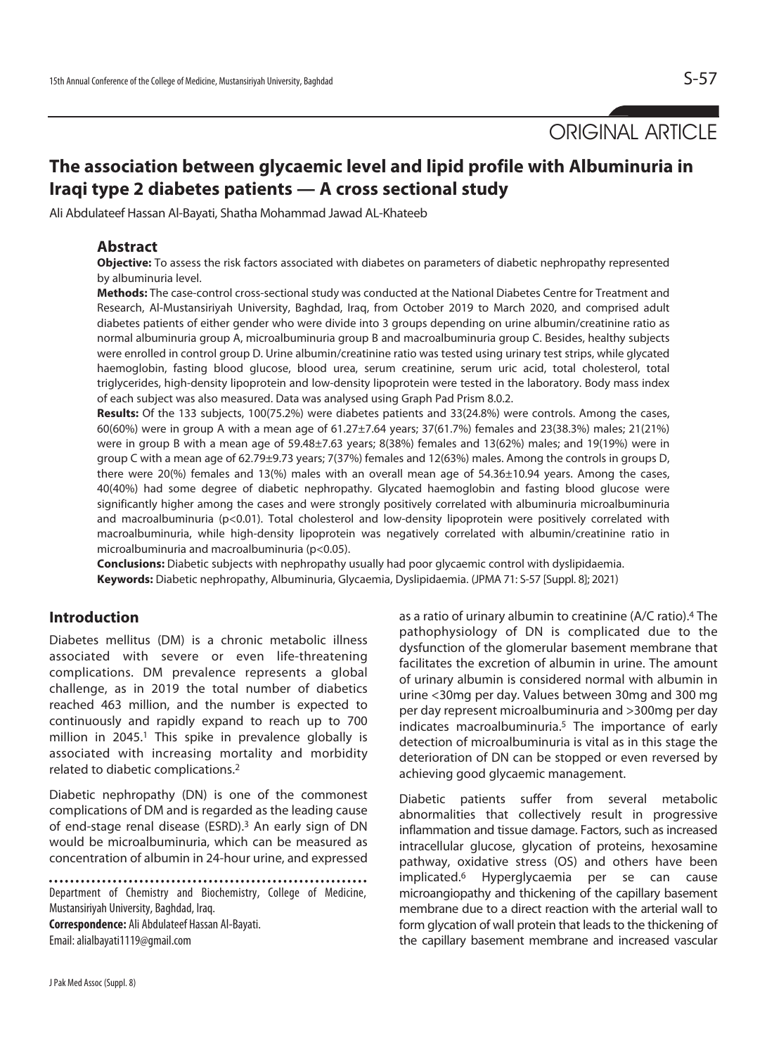ORIGINAL ARTICLE

# **The association between glycaemic level and lipid profile with Albuminuria in Iraqi type 2 diabetes patients — A cross sectional study**

Ali Abdulateef Hassan Al-Bayati, Shatha Mohammad Jawad AL-Khateeb

# **Abstract**

**Objective:** To assess the risk factors associated with diabetes on parameters of diabetic nephropathy represented by albuminuria level.

**Methods:** The case-control cross-sectional study was conducted at the National Diabetes Centre for Treatment and Research, Al-Mustansiriyah University, Baghdad, Iraq, from October 2019 to March 2020, and comprised adult diabetes patients of either gender who were divide into 3 groups depending on urine albumin/creatinine ratio as normal albuminuria group A, microalbuminuria group B and macroalbuminuria group C. Besides, healthy subjects were enrolled in control group D. Urine albumin/creatinine ratio was tested using urinary test strips, while glycated haemoglobin, fasting blood glucose, blood urea, serum creatinine, serum uric acid, total cholesterol, total triglycerides, high-density lipoprotein and low-density lipoprotein were tested in the laboratory. Body mass index of each subject was also measured. Data was analysed using Graph Pad Prism 8.0.2.

**Results:** Of the 133 subjects, 100(75.2%) were diabetes patients and 33(24.8%) were controls. Among the cases, 60(60%) were in group A with a mean age of 61.27±7.64 years; 37(61.7%) females and 23(38.3%) males; 21(21%) were in group B with a mean age of 59.48±7.63 years; 8(38%) females and 13(62%) males; and 19(19%) were in group C with a mean age of 62.79±9.73 years; 7(37%) females and 12(63%) males. Among the controls in groups D, there were 20(%) females and 13(%) males with an overall mean age of 54.36±10.94 years. Among the cases, 40(40%) had some degree of diabetic nephropathy. Glycated haemoglobin and fasting blood glucose were significantly higher among the cases and were strongly positively correlated with albuminuria microalbuminuria and macroalbuminuria (p<0.01). Total cholesterol and low-density lipoprotein were positively correlated with macroalbuminuria, while high-density lipoprotein was negatively correlated with albumin/creatinine ratio in microalbuminuria and macroalbuminuria (p<0.05).

**Conclusions:** Diabetic subjects with nephropathy usually had poor glycaemic control with dyslipidaemia. **Keywords:** Diabetic nephropathy, Albuminuria, Glycaemia, Dyslipidaemia. (JPMA 71: S-57 [Suppl. 8]; 2021)

#### **Introduction**

Diabetes mellitus (DM) is a chronic metabolic illness associated with severe or even life-threatening complications. DM prevalence represents a global challenge, as in 2019 the total number of diabetics reached 463 million, and the number is expected to continuously and rapidly expand to reach up to 700 million in 2045.<sup>1</sup> This spike in prevalence globally is associated with increasing mortality and morbidity related to diabetic complications.2

Diabetic nephropathy (DN) is one of the commonest complications of DM and is regarded as the leading cause of end-stage renal disease (ESRD).3 An early sign of DN would be microalbuminuria, which can be measured as concentration of albumin in 24-hour urine, and expressed

Department of Chemistry and Biochemistry, College of Medicine, Mustansiriyah University, Baghdad, Iraq. **Correspondence:** Ali Abdulateef Hassan Al-Bayati. Email: alialbayati1119@gmail.com

as a ratio of urinary albumin to creatinine (A/C ratio).4 The pathophysiology of DN is complicated due to the dysfunction of the glomerular basement membrane that facilitates the excretion of albumin in urine. The amount of urinary albumin is considered normal with albumin in urine <30mg per day. Values between 30mg and 300 mg per day represent microalbuminuria and >300mg per day indicates macroalbuminuria.5 The importance of early detection of microalbuminuria is vital as in this stage the deterioration of DN can be stopped or even reversed by achieving good glycaemic management.

Diabetic patients suffer from several metabolic abnormalities that collectively result in progressive inflammation and tissue damage. Factors, such as increased intracellular glucose, glycation of proteins, hexosamine pathway, oxidative stress (OS) and others have been implicated.6 Hyperglycaemia per se can cause microangiopathy and thickening of the capillary basement membrane due to a direct reaction with the arterial wall to form glycation of wall protein that leads to the thickening of the capillary basement membrane and increased vascular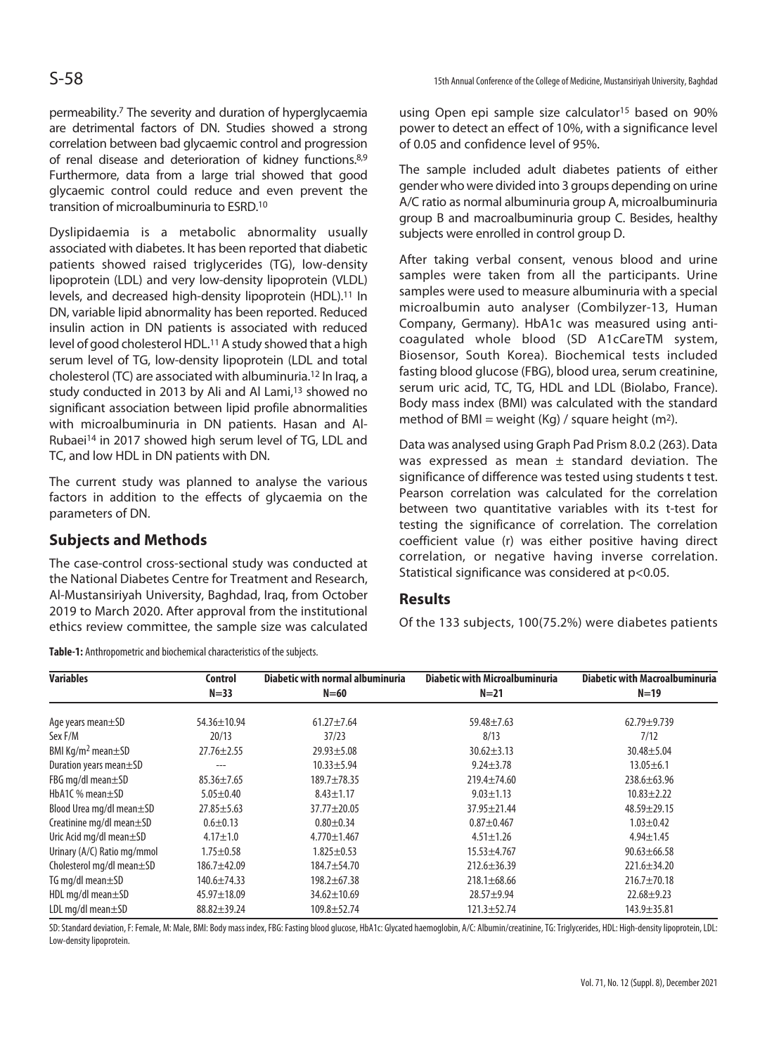permeability.7 The severity and duration of hyperglycaemia are detrimental factors of DN. Studies showed a strong correlation between bad glycaemic control and progression of renal disease and deterioration of kidney functions.8,9 Furthermore, data from a large trial showed that good glycaemic control could reduce and even prevent the transition of microalbuminuria to ESRD.10

Dyslipidaemia is a metabolic abnormality usually associated with diabetes. It has been reported that diabetic patients showed raised triglycerides (TG), low-density lipoprotein (LDL) and very low-density lipoprotein (VLDL) levels, and decreased high-density lipoprotein (HDL).<sup>11</sup> In DN, variable lipid abnormality has been reported. Reduced insulin action in DN patients is associated with reduced level of good cholesterol HDL.<sup>11</sup> A study showed that a high serum level of TG, low-density lipoprotein (LDL and total cholesterol (TC) are associated with albuminuria.12 In Iraq, a study conducted in 2013 by Ali and Al Lami,<sup>13</sup> showed no significant association between lipid profile abnormalities with microalbuminuria in DN patients. Hasan and Al-Rubaei14 in 2017 showed high serum level of TG, LDL and TC, and low HDL in DN patients with DN.

The current study was planned to analyse the various factors in addition to the effects of glycaemia on the parameters of DN.

# **Subjects and Methods**

The case-control cross-sectional study was conducted at the National Diabetes Centre for Treatment and Research, Al-Mustansiriyah University, Baghdad, Iraq, from October 2019 to March 2020. After approval from the institutional ethics review committee, the sample size was calculated

**Table-1:** Anthropometric and biochemical characteristics of the subjects.

using Open epi sample size calculator15 based on 90% power to detect an effect of 10%, with a significance level of 0.05 and confidence level of 95%.

The sample included adult diabetes patients of either gender who were divided into 3 groups depending on urine A/C ratio as normal albuminuria group A, microalbuminuria group B and macroalbuminuria group C. Besides, healthy subjects were enrolled in control group D.

After taking verbal consent, venous blood and urine samples were taken from all the participants. Urine samples were used to measure albuminuria with a special microalbumin auto analyser (Combilyzer-13, Human Company, Germany). HbA1c was measured using anticoagulated whole blood (SD A1cCareTM system, Biosensor, South Korea). Biochemical tests included fasting blood glucose (FBG), blood urea, serum creatinine, serum uric acid, TC, TG, HDL and LDL (Biolabo, France). Body mass index (BMI) was calculated with the standard method of BMI = weight  $(Kq)$  / square height  $(m^2)$ .

Data was analysed using Graph Pad Prism 8.0.2 (263). Data was expressed as mean  $\pm$  standard deviation. The significance of difference was tested using students t test. Pearson correlation was calculated for the correlation between two quantitative variables with its t-test for testing the significance of correlation. The correlation coefficient value (r) was either positive having direct correlation, or negative having inverse correlation. Statistical significance was considered at p<0.05.

# **Results**

Of the 133 subjects, 100(75.2%) were diabetes patients

| <b>Variables</b>                    | Control           | Diabetic with normal albuminuria | <b>Diabetic with Microalbuminuria</b> | <b>Diabetic with Macroalbuminuria</b> |
|-------------------------------------|-------------------|----------------------------------|---------------------------------------|---------------------------------------|
|                                     | $N = 33$          | $N=60$                           | $N=21$                                | $N=19$                                |
| Age years mean±SD                   | $54.36 \pm 10.94$ | $61.27 + 7.64$                   | $59.48 \pm 7.63$                      | $62.79 + 9.739$                       |
| Sex F/M                             | 20/13             | 37/23                            | 8/13                                  | 7/12                                  |
| BMI Kg/m <sup>2</sup> mean $\pm$ SD | $27.76 \pm 2.55$  | $29.93 \pm 5.08$                 | $30.62 \pm 3.13$                      | $30.48 + 5.04$                        |
| Duration years mean ±SD             | ---               | $10.33 \pm 5.94$                 | $9.24 \pm 3.78$                       | $13.05 \pm 6.1$                       |
| FBG mg/dl mean $\pm$ SD             | $85.36 \pm 7.65$  | $189.7 \pm 78.35$                | $219.4 \pm 74.60$                     | $238.6 \pm 63.96$                     |
| HbA1C % mean $\pm$ SD               | $5.05 \pm 0.40$   | $8.43 \pm 1.17$                  | $9.03 \pm 1.13$                       | $10.83 \pm 2.22$                      |
| Blood Urea mg/dl mean±SD            | $27.85 \pm 5.63$  | $37.77 \pm 20.05$                | $37.95 \pm 21.44$                     | $48.59 \pm 29.15$                     |
| Creatinine mg/dl mean $\pm$ SD      | $0.6 \pm 0.13$    | $0.80 + 0.34$                    | $0.87 + 0.467$                        | $1.03 \pm 0.42$                       |
| Uric Acid mg/dl mean $\pm$ SD       | $4.17 + 1.0$      | $4.770 \pm 1.467$                | $4.51 \pm 1.26$                       | $4.94 \pm 1.45$                       |
| Urinary (A/C) Ratio mg/mmol         | $1.75 \pm 0.58$   | $1.825 \pm 0.53$                 | $15.53 + 4.767$                       | $90.63 \pm 66.58$                     |
| Cholesterol mg/dl mean $\pm$ SD     | 186.7±42.09       | 184.7±54.70                      | $212.6 \pm 36.39$                     | $221.6 \pm 34.20$                     |
| TG mg/dl mean $\pm$ SD              | $140.6 \pm 74.33$ | $198.2 \pm 67.38$                | $218.1 \pm 68.66$                     | $216.7 \pm 70.18$                     |
| HDL mg/dl mean $\pm$ SD             | $45.97 \pm 18.09$ | $34.62 \pm 10.69$                | $28.57 + 9.94$                        | $22.68 + 9.23$                        |
| LDL mg/dl mean $\pm$ SD             | $88.82 \pm 39.24$ | 109.8±52.74                      | $121.3 \pm 52.74$                     | $143.9 \pm 35.81$                     |

SD: Standard deviation, F: Female, M: Male, BMI: Body mass index, FBG: Fasting blood glucose, HbA1c: Glycated haemoglobin, A/C: Albumin/creatinine, TG: Triglycerides, HDL: High-density lipoprotein, LDL: Low-density lipoprotein.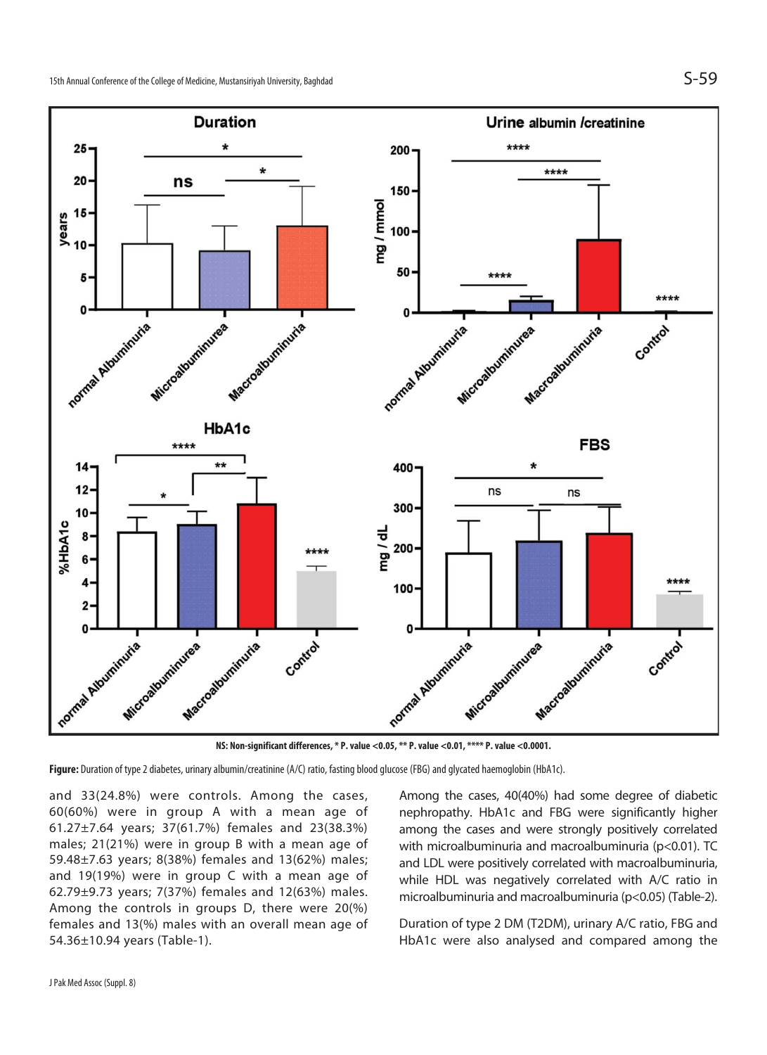

**NS: Non-significant differences, \* P. value <0.05, \*\* P. value <0.01, \*\*\*\* P. value <0.0001.** 

**Figure:** Duration of type 2 diabetes, urinary albumin/creatinine (A/C) ratio, fasting blood glucose (FBG) and glycated haemoglobin (HbA1c).

and 33(24.8%) were controls. Among the cases, 60(60%) were in group A with a mean age of 61.27±7.64 years; 37(61.7%) females and 23(38.3%) males; 21(21%) were in group B with a mean age of 59.48±7.63 years; 8(38%) females and 13(62%) males; and 19(19%) were in group C with a mean age of 62.79±9.73 years; 7(37%) females and 12(63%) males. Among the controls in groups D, there were 20(%) females and 13(%) males with an overall mean age of 54.36±10.94 years (Table-1).

Among the cases, 40(40%) had some degree of diabetic nephropathy. HbA1c and FBG were significantly higher among the cases and were strongly positively correlated with microalbuminuria and macroalbuminuria (p<0.01). TC and LDL were positively correlated with macroalbuminuria, while HDL was negatively correlated with A/C ratio in microalbuminuria and macroalbuminuria (p<0.05) (Table-2).

Duration of type 2 DM (T2DM), urinary A/C ratio, FBG and HbA1c were also analysed and compared among the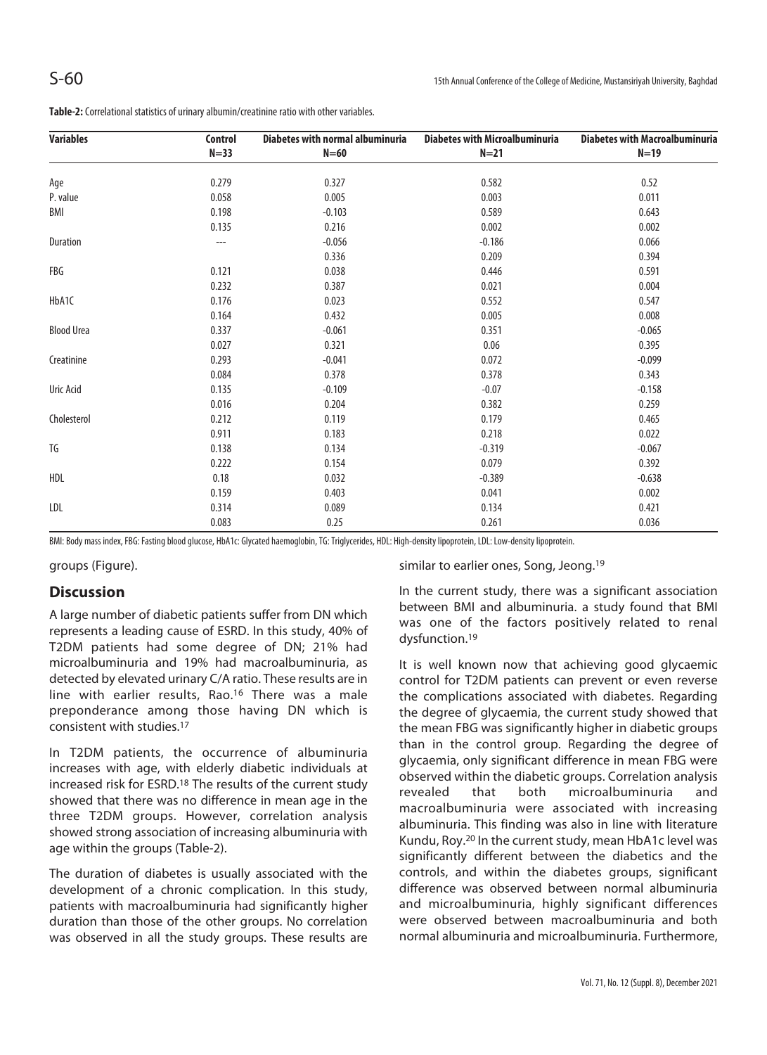**Table-2:** Correlational statistics of urinary albumin/creatinine ratio with other variables.

| <b>Variables</b>  | Control  | <b>Diabetes with normal albuminuria</b><br>$N=60$ | <b>Diabetes with Microalbuminuria</b><br>$N=21$ | <b>Diabetes with Macroalbuminuria</b><br>$N=19$ |
|-------------------|----------|---------------------------------------------------|-------------------------------------------------|-------------------------------------------------|
|                   | $N = 33$ |                                                   |                                                 |                                                 |
| Age               | 0.279    | 0.327                                             | 0.582                                           | 0.52                                            |
| P. value          | 0.058    | 0.005                                             | 0.003                                           | 0.011                                           |
| BMI               | 0.198    | $-0.103$                                          | 0.589                                           | 0.643                                           |
|                   | 0.135    | 0.216                                             | 0.002                                           | 0.002                                           |
| Duration          | ---      | $-0.056$                                          | $-0.186$                                        | 0.066                                           |
|                   |          | 0.336                                             | 0.209                                           | 0.394                                           |
| FBG               | 0.121    | 0.038                                             | 0.446                                           | 0.591                                           |
|                   | 0.232    | 0.387                                             | 0.021                                           | 0.004                                           |
| HbA1C             | 0.176    | 0.023                                             | 0.552                                           | 0.547                                           |
|                   | 0.164    | 0.432                                             | 0.005                                           | 0.008                                           |
| <b>Blood Urea</b> | 0.337    | $-0.061$                                          | 0.351                                           | $-0.065$                                        |
|                   | 0.027    | 0.321                                             | 0.06                                            | 0.395                                           |
| Creatinine        | 0.293    | $-0.041$                                          | 0.072                                           | $-0.099$                                        |
|                   | 0.084    | 0.378                                             | 0.378                                           | 0.343                                           |
| Uric Acid         | 0.135    | $-0.109$                                          | $-0.07$                                         | $-0.158$                                        |
|                   | 0.016    | 0.204                                             | 0.382                                           | 0.259                                           |
| Cholesterol       | 0.212    | 0.119                                             | 0.179                                           | 0.465                                           |
|                   | 0.911    | 0.183                                             | 0.218                                           | 0.022                                           |
| TG                | 0.138    | 0.134                                             | $-0.319$                                        | $-0.067$                                        |
|                   | 0.222    | 0.154                                             | 0.079                                           | 0.392                                           |
| HDL               | 0.18     | 0.032                                             | $-0.389$                                        | $-0.638$                                        |
|                   | 0.159    | 0.403                                             | 0.041                                           | 0.002                                           |
| LDL               | 0.314    | 0.089                                             | 0.134                                           | 0.421                                           |
|                   | 0.083    | 0.25                                              | 0.261                                           | 0.036                                           |

BMI: Body mass index, FBG: Fasting blood glucose, HbA1c: Glycated haemoglobin, TG: Triglycerides, HDL: High-density lipoprotein, LDL: Low-density lipoprotein.

groups (Figure).

#### **Discussion**

A large number of diabetic patients suffer from DN which represents a leading cause of ESRD. In this study, 40% of T2DM patients had some degree of DN; 21% had microalbuminuria and 19% had macroalbuminuria, as detected by elevated urinary C/A ratio. These results are in line with earlier results, Rao.<sup>16</sup> There was a male preponderance among those having DN which is consistent with studies.17

In T2DM patients, the occurrence of albuminuria increases with age, with elderly diabetic individuals at increased risk for ESRD.18 The results of the current study showed that there was no difference in mean age in the three T2DM groups. However, correlation analysis showed strong association of increasing albuminuria with age within the groups (Table-2).

The duration of diabetes is usually associated with the development of a chronic complication. In this study, patients with macroalbuminuria had significantly higher duration than those of the other groups. No correlation was observed in all the study groups. These results are

similar to earlier ones, Song, Jeong.<sup>19</sup>

In the current study, there was a significant association between BMI and albuminuria. a study found that BMI was one of the factors positively related to renal dysfunction.19

It is well known now that achieving good glycaemic control for T2DM patients can prevent or even reverse the complications associated with diabetes. Regarding the degree of glycaemia, the current study showed that the mean FBG was significantly higher in diabetic groups than in the control group. Regarding the degree of glycaemia, only significant difference in mean FBG were observed within the diabetic groups. Correlation analysis revealed that both microalbuminuria and macroalbuminuria were associated with increasing albuminuria. This finding was also in line with literature Kundu, Roy.20 In the current study, mean HbA1c level was significantly different between the diabetics and the controls, and within the diabetes groups, significant difference was observed between normal albuminuria and microalbuminuria, highly significant differences were observed between macroalbuminuria and both normal albuminuria and microalbuminuria. Furthermore,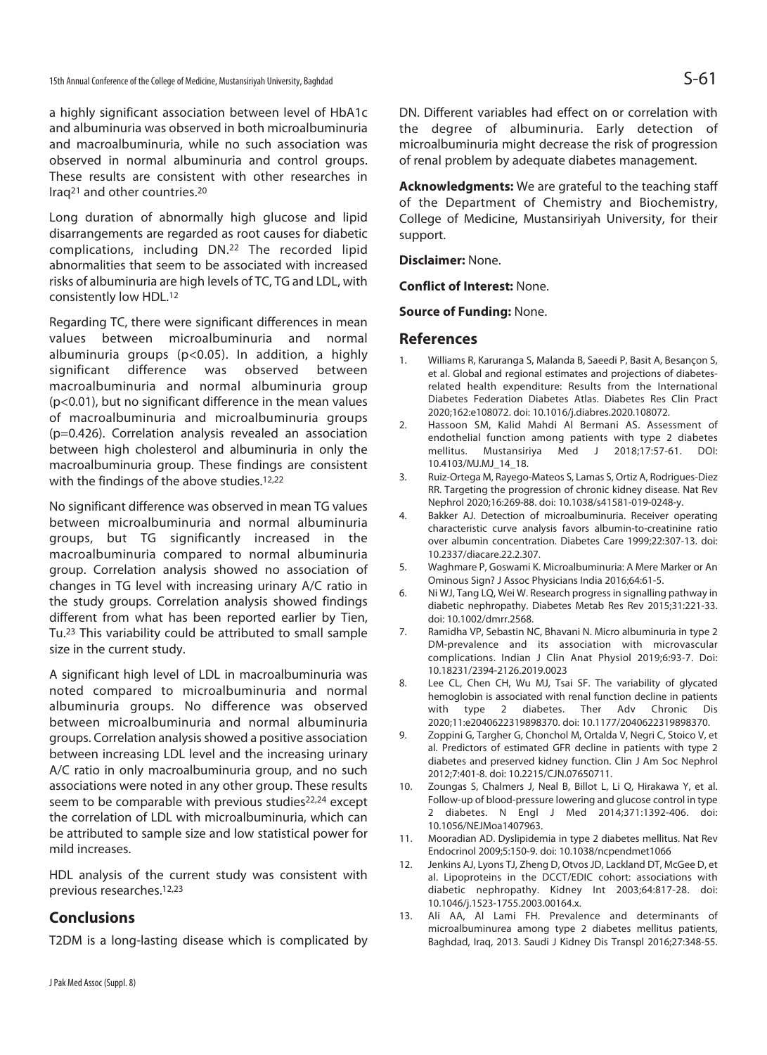a highly significant association between level of HbA1c and albuminuria was observed in both microalbuminuria and macroalbuminuria, while no such association was observed in normal albuminuria and control groups. These results are consistent with other researches in Iraq21 and other countries.20

Long duration of abnormally high glucose and lipid disarrangements are regarded as root causes for diabetic complications, including DN.22 The recorded lipid abnormalities that seem to be associated with increased risks of albuminuria are high levels of TC, TG and LDL, with consistently low HDL.12

Regarding TC, there were significant differences in mean values between microalbuminuria and normal albuminuria groups (p<0.05). In addition, a highly significant difference was observed between macroalbuminuria and normal albuminuria group (p<0.01), but no significant difference in the mean values of macroalbuminuria and microalbuminuria groups (p=0.426). Correlation analysis revealed an association between high cholesterol and albuminuria in only the macroalbuminuria group. These findings are consistent with the findings of the above studies.<sup>12,22</sup>

No significant difference was observed in mean TG values between microalbuminuria and normal albuminuria groups, but TG significantly increased in the macroalbuminuria compared to normal albuminuria group. Correlation analysis showed no association of changes in TG level with increasing urinary A/C ratio in the study groups. Correlation analysis showed findings different from what has been reported earlier by Tien, Tu.23 This variability could be attributed to small sample size in the current study.

A significant high level of LDL in macroalbuminuria was noted compared to microalbuminuria and normal albuminuria groups. No difference was observed between microalbuminuria and normal albuminuria groups. Correlation analysis showed a positive association between increasing LDL level and the increasing urinary A/C ratio in only macroalbuminuria group, and no such associations were noted in any other group. These results seem to be comparable with previous studies<sup>22,24</sup> except the correlation of LDL with microalbuminuria, which can be attributed to sample size and low statistical power for mild increases.

HDL analysis of the current study was consistent with previous researches.12,23

# **Conclusions**

T2DM is a long-lasting disease which is complicated by

DN. Different variables had effect on or correlation with the degree of albuminuria. Early detection of microalbuminuria might decrease the risk of progression of renal problem by adequate diabetes management.

**Acknowledgments:** We are grateful to the teaching staff of the Department of Chemistry and Biochemistry, College of Medicine, Mustansiriyah University, for their support.

**Disclaimer:** None.

**Conflict of Interest:** None.

**Source of Funding:** None.

#### **References**

- 1. Williams R, Karuranga S, Malanda B, Saeedi P, Basit A, Besançon S, et al. Global and regional estimates and projections of diabetesrelated health expenditure: Results from the International Diabetes Federation Diabetes Atlas. Diabetes Res Clin Pract 2020;162:e108072. doi: 10.1016/j.diabres.2020.108072.
- 2. Hassoon SM, Kalid Mahdi Al Bermani AS. Assessment of endothelial function among patients with type 2 diabetes mellitus. Mustansiriya Med J 2018;17:57-61. DOI: 10.4103/MJ.MJ\_14\_18.
- 3. Ruiz-Ortega M, Rayego-Mateos S, Lamas S, Ortiz A, Rodrigues-Diez RR. Targeting the progression of chronic kidney disease. Nat Rev Nephrol 2020;16:269-88. doi: 10.1038/s41581-019-0248-y.
- 4. Bakker AJ. Detection of microalbuminuria. Receiver operating characteristic curve analysis favors albumin-to-creatinine ratio over albumin concentration. Diabetes Care 1999;22:307-13. doi: 10.2337/diacare.22.2.307.
- 5. Waghmare P, Goswami K. Microalbuminuria: A Mere Marker or An Ominous Sign? J Assoc Physicians India 2016;64:61-5.
- 6. Ni WJ, Tang LQ, Wei W. Research progress in signalling pathway in diabetic nephropathy. Diabetes Metab Res Rev 2015;31:221-33. doi: 10.1002/dmrr.2568.
- 7. Ramidha VP, Sebastin NC, Bhavani N. Micro albuminuria in type 2 DM-prevalence and its association with microvascular complications. Indian J Clin Anat Physiol 2019;6:93-7. Doi: 10.18231/2394-2126.2019.0023
- 8. Lee CL, Chen CH, Wu MJ, Tsai SF. The variability of glycated hemoglobin is associated with renal function decline in patients with type 2 diabetes. Ther Adv Chronic Dis 2020;11:e2040622319898370. doi: 10.1177/2040622319898370.
- 9. Zoppini G, Targher G, Chonchol M, Ortalda V, Negri C, Stoico V, et al. Predictors of estimated GFR decline in patients with type 2 diabetes and preserved kidney function. Clin J Am Soc Nephrol 2012;7:401-8. doi: 10.2215/CJN.07650711.
- 10. Zoungas S, Chalmers J, Neal B, Billot L, Li Q, Hirakawa Y, et al. Follow-up of blood-pressure lowering and glucose control in type 2 diabetes. N Engl J Med 2014;371:1392-406. doi: 10.1056/NEJMoa1407963.
- 11. Mooradian AD. Dyslipidemia in type 2 diabetes mellitus. Nat Rev Endocrinol 2009;5:150-9. doi: 10.1038/ncpendmet1066
- 12. Jenkins AJ, Lyons TJ, Zheng D, Otvos JD, Lackland DT, McGee D, et al. Lipoproteins in the DCCT/EDIC cohort: associations with diabetic nephropathy. Kidney Int 2003;64:817-28. doi: 10.1046/j.1523-1755.2003.00164.x.
- 13. Ali AA, Al Lami FH. Prevalence and determinants of microalbuminurea among type 2 diabetes mellitus patients, Baghdad, Iraq, 2013. Saudi J Kidney Dis Transpl 2016;27:348-55.